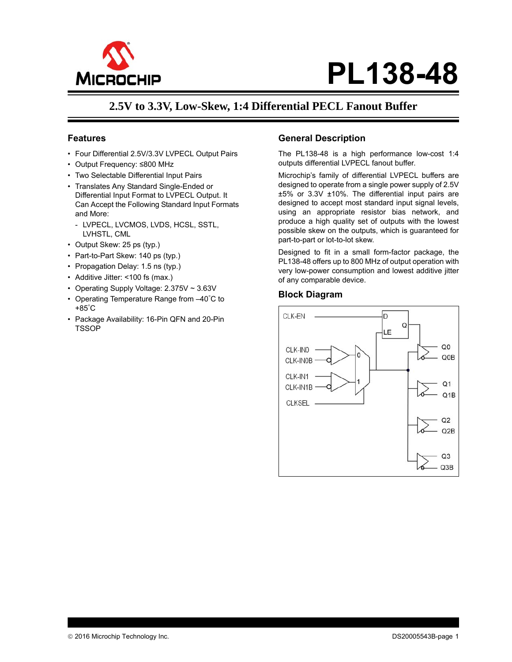

# **PL138-48**

## **2.5V to 3.3V, Low-Skew, 1:4 Differential PECL Fanout Buffer**

#### **Features**

- Four Differential 2.5V/3.3V LVPECL Output Pairs
- Output Frequency: ≤800 MHz
- Two Selectable Differential Input Pairs
- Translates Any Standard Single-Ended or Differential Input Format to LVPECL Output. It Can Accept the Following Standard Input Formats and More:
	- LVPECL, LVCMOS, LVDS, HCSL, SSTL, LVHSTL, CML
- Output Skew: 25 ps (typ.)
- Part-to-Part Skew: 140 ps (typ.)
- Propagation Delay: 1.5 ns (typ.)
- Additive Jitter: <100 fs (max.)
- Operating Supply Voltage: 2.375V ~ 3.63V
- Operating Temperature Range from –40° C to +85° C
- Package Availability: 16-Pin QFN and 20-Pin TSSOP

#### **General Description**

The PL138-48 is a high performance low-cost 1:4 outputs differential LVPECL fanout buffer.

Microchip's family of differential LVPECL buffers are designed to operate from a single power supply of 2.5V ±5% or 3.3V ±10%. The differential input pairs are designed to accept most standard input signal levels, using an appropriate resistor bias network, and produce a high quality set of outputs with the lowest possible skew on the outputs, which is guaranteed for part-to-part or lot-to-lot skew.

Designed to fit in a small form-factor package, the PL138-48 offers up to 800 MHz of output operation with very low-power consumption and lowest additive jitter of any comparable device.

#### **Block Diagram**

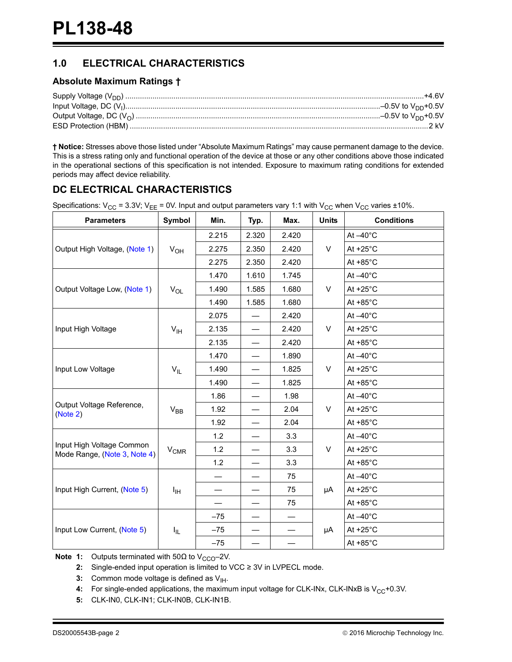## **1.0 ELECTRICAL CHARACTERISTICS**

#### **Absolute Maximum Ratings †**

**† Notice:** Stresses above those listed under "Absolute Maximum Ratings" may cause permanent damage to the device. This is a stress rating only and functional operation of the device at those or any other conditions above those indicated in the operational sections of this specification is not intended. Exposure to maximum rating conditions for extended periods may affect device reliability.

## **DC ELECTRICAL CHARACTERISTICS**

Specifications:  $V_{CC}$  = 3.3V;  $V_{EE}$  = 0V. Input and output parameters vary 1:1 with  $V_{CC}$  when  $V_{CC}$  varies ±10%.

| <b>Parameters</b>                                         | Symbol            | Min.  | Typ.  | Max.  | <b>Units</b> | <b>Conditions</b>  |
|-----------------------------------------------------------|-------------------|-------|-------|-------|--------------|--------------------|
|                                                           |                   | 2.215 | 2.320 | 2.420 |              | At $-40^{\circ}$ C |
| Output High Voltage, (Note 1)                             | $V_{OH}$          | 2.275 | 2.350 | 2.420 | V            | At $+25^{\circ}$ C |
|                                                           |                   | 2.275 | 2.350 | 2.420 |              | At $+85^{\circ}$ C |
|                                                           |                   | 1.470 | 1.610 | 1.745 |              | At $-40^{\circ}$ C |
| Output Voltage Low, (Note 1)                              | $V_{OL}$          | 1.490 | 1.585 | 1.680 | V            | At $+25^{\circ}$ C |
|                                                           |                   | 1.490 | 1.585 | 1.680 |              | At $+85^{\circ}$ C |
|                                                           |                   | 2.075 |       | 2.420 |              | At $-40^{\circ}$ C |
| Input High Voltage                                        | $V_{\text{IH}}$   | 2.135 |       | 2.420 | V            | At $+25^{\circ}$ C |
|                                                           |                   | 2.135 |       | 2.420 |              | At $+85^{\circ}$ C |
|                                                           |                   | 1.470 |       | 1.890 |              | At $-40^{\circ}$ C |
| Input Low Voltage                                         | $V_{IL}$          | 1.490 |       | 1.825 | V            | At $+25^{\circ}$ C |
|                                                           |                   | 1.490 |       | 1.825 |              | At $+85^{\circ}$ C |
|                                                           | $V_{BB}$          | 1.86  |       | 1.98  | V            | At $-40^{\circ}$ C |
| Output Voltage Reference,<br>(Note 2)                     |                   | 1.92  |       | 2.04  |              | At $+25^{\circ}$ C |
|                                                           |                   | 1.92  |       | 2.04  |              | At $+85^{\circ}$ C |
|                                                           |                   | 1.2   |       | 3.3   |              | At $-40^{\circ}$ C |
| Input High Voltage Common<br>Mode Range, (Note 3, Note 4) | $\rm V_{CMR}$     | 1.2   |       | 3.3   | $\vee$       | At $+25^{\circ}$ C |
|                                                           |                   | 1.2   |       | 3.3   |              | At $+85^{\circ}$ C |
|                                                           |                   |       |       | 75    |              | At $-40^{\circ}$ C |
| Input High Current, (Note 5)                              | ŀщ                |       |       | 75    | μA           | At $+25^{\circ}$ C |
|                                                           |                   |       |       | 75    |              | At $+85^{\circ}$ C |
|                                                           |                   | $-75$ |       |       |              | At $-40^{\circ}$ C |
| Input Low Current, (Note 5)                               | $I_{\parallel L}$ | $-75$ |       |       | μA           | At $+25^{\circ}$ C |
|                                                           |                   | $-75$ |       |       |              | At $+85^{\circ}$ C |

<span id="page-1-2"></span><span id="page-1-1"></span><span id="page-1-0"></span>**Note 1:** Outputs terminated with  $50\Omega$  to V<sub>CCO</sub>-2V.

**2:** Single-ended input operation is limited to VCC ≥ 3V in LVPECL mode.

**3:** Common mode voltage is defined as  $V_{\text{IH}}$ .

<span id="page-1-3"></span>4: For single-ended applications, the maximum input voltage for CLK-INx, CLK-INxB is V<sub>CC</sub>+0.3V.

<span id="page-1-4"></span>**5:** CLK-IN0, CLK-IN1; CLK-IN0B, CLK-IN1B.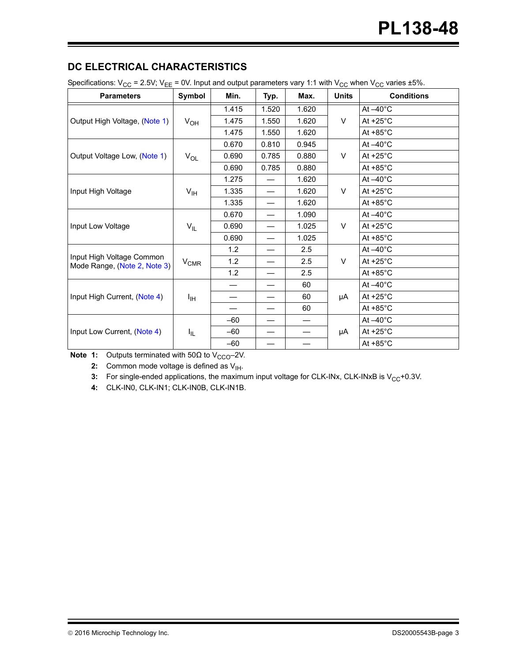## **DC ELECTRICAL CHARACTERISTICS**

| Specifications: $V_{CC}$ = 2.5V; $V_{EE}$ = 0V. Input and output parameters vary 1:1 with $V_{CC}$ when $V_{CC}$ varies ±5%. |  |  |  |
|------------------------------------------------------------------------------------------------------------------------------|--|--|--|
|                                                                                                                              |  |  |  |

| <b>Parameters</b>                                         | Symbol          | Min.  | Typ.  | Max.  | <b>Units</b> | <b>Conditions</b>  |
|-----------------------------------------------------------|-----------------|-------|-------|-------|--------------|--------------------|
|                                                           |                 | 1.415 | 1.520 | 1.620 |              | At $-40^{\circ}$ C |
| Output High Voltage, (Note 1)                             | $V_{OH}$        | 1.475 | 1.550 | 1.620 | V            | At $+25^{\circ}$ C |
|                                                           |                 | 1.475 | 1.550 | 1.620 |              | At $+85^{\circ}$ C |
|                                                           |                 | 0.670 | 0.810 | 0.945 |              | At $-40^{\circ}$ C |
| Output Voltage Low, (Note 1)                              | $V_{OL}$        | 0.690 | 0.785 | 0.880 | V            | At $+25^{\circ}$ C |
|                                                           |                 | 0.690 | 0.785 | 0.880 |              | At $+85^{\circ}$ C |
|                                                           |                 | 1.275 |       | 1.620 |              | At $-40^{\circ}$ C |
| Input High Voltage                                        | $V_{\text{IH}}$ | 1.335 |       | 1.620 | $\vee$       | At $+25^{\circ}$ C |
|                                                           |                 | 1.335 |       | 1.620 |              | At $+85^{\circ}$ C |
|                                                           | $V_{IL}$        | 0.670 |       | 1.090 | V            | At $-40^{\circ}$ C |
| Input Low Voltage                                         |                 | 0.690 |       | 1.025 |              | At $+25^{\circ}$ C |
|                                                           |                 | 0.690 |       | 1.025 |              | At $+85^{\circ}$ C |
|                                                           |                 | 1.2   |       | 2.5   |              | At $-40^{\circ}$ C |
| Input High Voltage Common<br>Mode Range, (Note 2, Note 3) | $V_{CMR}$       | 1.2   |       | 2.5   | V            | At $+25^{\circ}$ C |
|                                                           |                 | 1.2   |       | 2.5   |              | At $+85^{\circ}$ C |
|                                                           |                 |       |       | 60    |              | At $-40^{\circ}$ C |
| Input High Current, (Note 4)                              | Iн              |       |       | 60    | μA           | At $+25^{\circ}$ C |
|                                                           |                 | —     |       | 60    |              | At $+85^{\circ}$ C |
|                                                           |                 | $-60$ |       |       |              | At $-40^{\circ}$ C |
| Input Low Current, (Note 4)                               | I <sub>IL</sub> | $-60$ |       |       | μA           | At $+25^{\circ}$ C |
|                                                           |                 | $-60$ |       |       |              | At $+85^{\circ}$ C |

<span id="page-2-2"></span><span id="page-2-1"></span><span id="page-2-0"></span>**Note 1:** Outputs terminated with  $50\Omega$  to V<sub>CCO</sub>-2V.

**2:** Common mode voltage is defined as  $V_{\text{IH}}$ .

**3:** For single-ended applications, the maximum input voltage for CLK-INx, CLK-INxB is V<sub>CC</sub>+0.3V.

<span id="page-2-3"></span>**4:** CLK-IN0, CLK-IN1; CLK-IN0B, CLK-IN1B.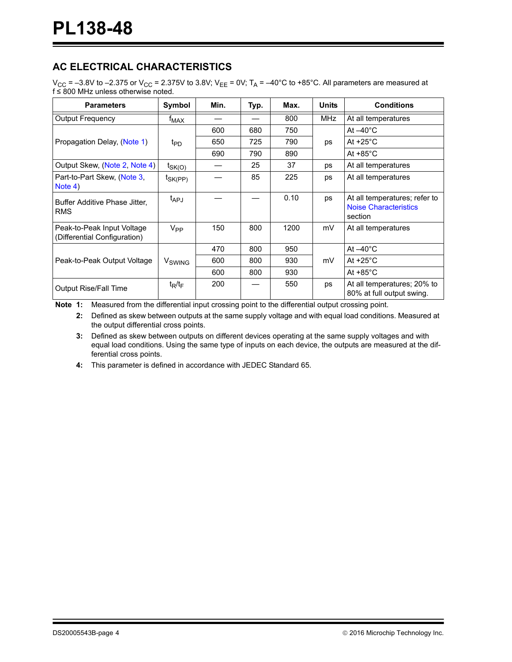## **AC ELECTRICAL CHARACTERISTICS**

 $V_{\text{CC}}$  = –3.8V to –2.375 or  $V_{\text{CC}}$  = 2.375V to 3.8V;  $V_{\text{EE}}$  = 0V; T<sub>A</sub> = –40°C to +85°C. All parameters are measured at  $f \leq 800$  MHz unless otherwise noted.

| <b>Parameters</b>                                          | Symbol                  | Min. | Typ. | Max. | <b>Units</b> | <b>Conditions</b>                                                        |
|------------------------------------------------------------|-------------------------|------|------|------|--------------|--------------------------------------------------------------------------|
| <b>Output Frequency</b>                                    | <sup>†</sup> MAX        |      |      | 800  | <b>MHz</b>   | At all temperatures                                                      |
|                                                            |                         | 600  | 680  | 750  |              | At $-40^{\circ}$ C                                                       |
| Propagation Delay, (Note 1)                                | t <sub>PD</sub>         | 650  | 725  | 790  | ps           | At $+25^{\circ}$ C                                                       |
|                                                            |                         | 690  | 790  | 890  |              | At $+85^{\circ}$ C                                                       |
| Output Skew, (Note 2, Note 4)                              | $t_{SK(\underline{O})}$ |      | 25   | 37   | ps           | At all temperatures                                                      |
| Part-to-Part Skew, (Note 3,<br>Note 4)                     | t <sub>SK(PP)</sub>     |      | 85   | 225  | ps           | At all temperatures                                                      |
| Buffer Additive Phase Jitter,<br><b>RMS</b>                | t <sub>APJ</sub>        |      |      | 0.10 | ps           | At all temperatures; refer to<br><b>Noise Characteristics</b><br>section |
| Peak-to-Peak Input Voltage<br>(Differential Configuration) | $V_{PP}$                | 150  | 800  | 1200 | mV           | At all temperatures                                                      |
|                                                            |                         | 470  | 800  | 950  |              | At $-40^{\circ}$ C                                                       |
| Peak-to-Peak Output Voltage                                | V <sub>SWING</sub>      | 600  | 800  | 930  | mV           | At $+25^{\circ}$ C                                                       |
|                                                            |                         | 600  | 800  | 930  |              | At $+85^{\circ}$ C                                                       |
| Output Rise/Fall Time                                      | $t_R/t_F$               | 200  |      | 550  | ps           | At all temperatures; 20% to<br>80% at full output swing.                 |

<span id="page-3-2"></span><span id="page-3-1"></span>**Note 1:** Measured from the differential input crossing point to the differential output crossing point.

**2:** Defined as skew between outputs at the same supply voltage and with equal load conditions. Measured at the output differential cross points.

<span id="page-3-3"></span>**3:** Defined as skew between outputs on different devices operating at the same supply voltages and with equal load conditions. Using the same type of inputs on each device, the outputs are measured at the differential cross points.

<span id="page-3-0"></span>**4:** This parameter is defined in accordance with JEDEC Standard 65.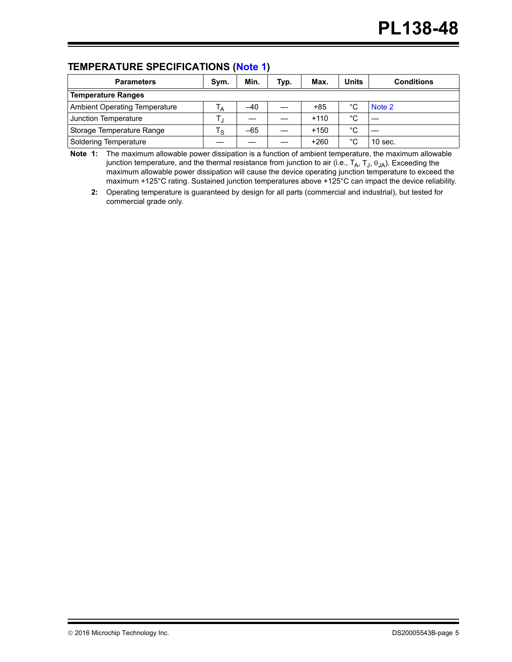## **TEMPERATURE SPECIFICATIONS [\(Note 1](#page-4-0))**

| <b>Parameters</b>                    | Sym. | Min.  | Typ. | Max.   | <b>Units</b> | <b>Conditions</b> |
|--------------------------------------|------|-------|------|--------|--------------|-------------------|
| <b>Temperature Ranges</b>            |      |       |      |        |              |                   |
| <b>Ambient Operating Temperature</b> | ١A   | $-40$ |      | $+85$  | °C           | Note 2            |
| Junction Temperature                 |      |       |      | $+110$ | °C           |                   |
| Storage Temperature Range            | ۰s   | $-65$ |      | $+150$ | °C           |                   |
| Soldering Temperature                |      |       |      | $+260$ | °C           | $10$ sec.         |

<span id="page-4-0"></span>**Note 1:** The maximum allowable power dissipation is a function of ambient temperature, the maximum allowable junction temperature, and the thermal resistance from junction to air (i.e.,  $T_A$ ,  $T_J$ ,  $\theta_{JA}$ ). Exceeding the maximum allowable power dissipation will cause the device operating junction temperature to exceed the maximum +125°C rating. Sustained junction temperatures above +125°C can impact the device reliability.

<span id="page-4-1"></span>**2:** Operating temperature is guaranteed by design for all parts (commercial and industrial), but tested for commercial grade only.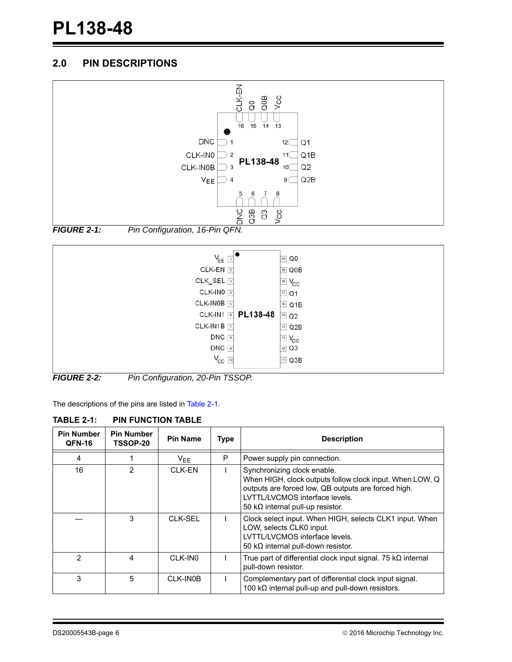## **2.0 PIN DESCRIPTIONS**







The descriptions of the pins are listed in [Table 2-1.](#page-5-0)

<span id="page-5-0"></span>

| <b>Pin Number</b><br>QFN-16 | <b>Pin Number</b><br><b>TSSOP-20</b> | <b>Pin Name</b> | <b>Type</b> | <b>Description</b>                                                                                                                                                                                                           |
|-----------------------------|--------------------------------------|-----------------|-------------|------------------------------------------------------------------------------------------------------------------------------------------------------------------------------------------------------------------------------|
| 4                           |                                      | $V_{EE}$        | P           | Power supply pin connection.                                                                                                                                                                                                 |
| 16                          | 2                                    | CLK-EN          |             | Synchronizing clock enable.<br>When HIGH, clock outputs follow clock input. When LOW, Q<br>outputs are forced low, QB outputs are forced high.<br>LVTTL/LVCMOS interface levels.<br>50 k $\Omega$ internal pull-up resistor. |
|                             | 3                                    | CLK-SEL         |             | Clock select input. When HIGH, selects CLK1 input. When<br>LOW, selects CLK0 input.<br>LVTTL/LVCMOS interface levels.<br>50 k $\Omega$ internal pull-down resistor.                                                          |
| $\mathcal{P}$               | 4                                    | CLK-IN0         |             | True part of differential clock input signal. 75 $k\Omega$ internal<br>pull-down resistor.                                                                                                                                   |
| 3                           | 5                                    | CLK-IN0B        |             | Complementary part of differential clock input signal.<br>100 $k\Omega$ internal pull-up and pull-down resistors.                                                                                                            |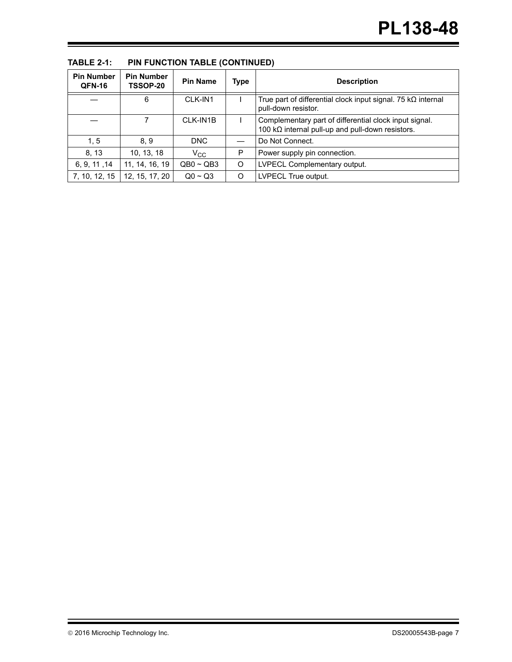| <b>Pin Number</b><br><b>QFN-16</b> | <b>Pin Number</b><br><b>TSSOP-20</b> | <b>Pin Name</b> | Type | <b>Description</b>                                                                                                |
|------------------------------------|--------------------------------------|-----------------|------|-------------------------------------------------------------------------------------------------------------------|
|                                    |                                      |                 |      |                                                                                                                   |
|                                    | 6                                    | CLK-IN1         |      | True part of differential clock input signal. 75 $k\Omega$ internal<br>pull-down resistor.                        |
|                                    |                                      | CLK-IN1B        |      | Complementary part of differential clock input signal.<br>100 $k\Omega$ internal pull-up and pull-down resistors. |
| 1, 5                               | 8.9                                  | DNC             |      | Do Not Connect.                                                                                                   |
| 8, 13                              | 10, 13, 18                           | $V_{\rm CC}$    | P    | Power supply pin connection.                                                                                      |
| 6, 9, 11, 14                       | 11, 14, 16, 19                       | $QB0 \sim QB3$  | O    | LVPECL Complementary output.                                                                                      |
| 7, 10, 12, 15                      | 12, 15, 17, 20                       | $Q_0 \sim Q_3$  | Ω    | LVPECL True output.                                                                                               |

**TABLE 2-1: PIN FUNCTION TABLE (CONTINUED)**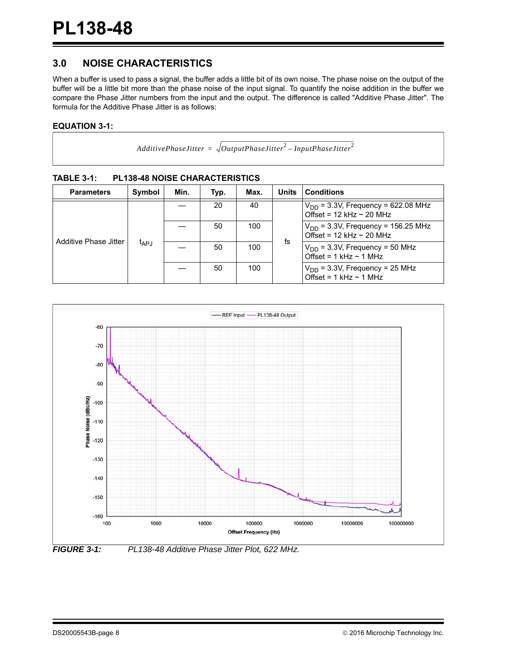## <span id="page-7-0"></span>**3.0 NOISE CHARACTERISTICS**

When a buffer is used to pass a signal, the buffer adds a little bit of its own noise. The phase noise on the output of the buffer will be a little bit more than the phase noise of the input signal. To quantify the noise addition in the buffer we compare the Phase Jitter numbers from the input and the output. The difference is called "Additive Phase Jitter". The formula for the Additive Phase Jitter is as follows:

#### **EQUATION 3-1:**

| AdditivePhaseJitter = $\sqrt{OutputPhaseJitter}^2$ – InputPhaseJitter <sup>2</sup> |  |  |
|------------------------------------------------------------------------------------|--|--|

| <b>Parameters</b>     | Symbol    | Min. | Typ. | Max. | <b>Units</b> | <b>Conditions</b>                                                          |  |  |
|-----------------------|-----------|------|------|------|--------------|----------------------------------------------------------------------------|--|--|
| Additive Phase Jitter | $t_{APJ}$ |      | 20   | 40   |              | $V_{DD}$ = 3.3V, Frequency = 622.08 MHz<br>Offset = $12$ kHz $\sim$ 20 MHz |  |  |
|                       |           |      | 50   | 100  |              | $V_{DD}$ = 3.3V, Frequency = 156.25 MHz<br>Offset = $12$ kHz $\sim$ 20 MHz |  |  |
|                       |           |      | 50   | 100  | fs           | $V_{DD}$ = 3.3V, Frequency = 50 MHz<br>Offset = $1$ kHz $\sim$ 1 MHz       |  |  |
|                       |           |      | 50   | 100  |              | $V_{DD}$ = 3.3V, Frequency = 25 MHz<br>Offset = $1$ kHz $\sim$ 1 MHz       |  |  |

**TABLE 3-1: PL138-48 NOISE CHARACTERISTICS**



*FIGURE 3-1: PL138-48 Additive Phase Jitter Plot, 622 MHz.*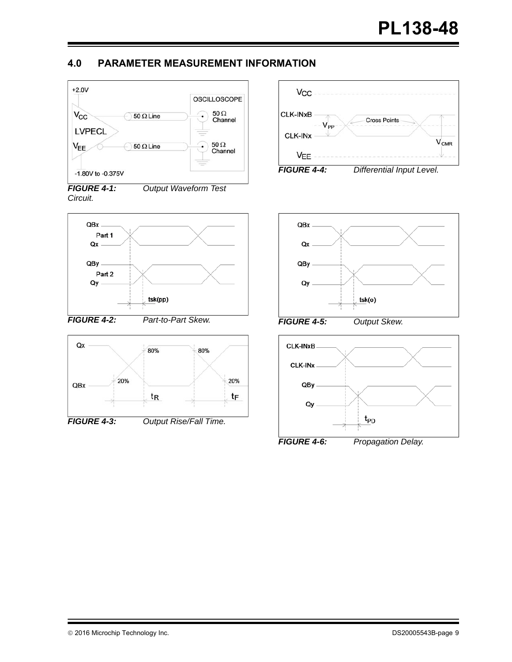## **4.0 PARAMETER MEASUREMENT INFORMATION**



*FIGURE 4-1: Output Waveform Test Circuit.*









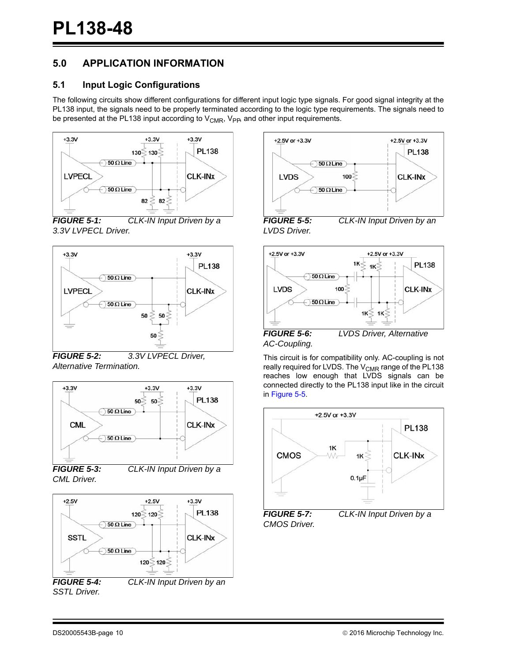## **5.0 APPLICATION INFORMATION**

## **5.1 Input Logic Configurations**

The following circuits show different configurations for different input logic type signals. For good signal integrity at the PL138 input, the signals need to be properly terminated according to the logic type requirements. The signals need to be presented at the PL138 input according to  $V_{CMR}$ ,  $V_{PR}$  and other input requirements.



*FIGURE 5-1: CLK-IN Input Driven by a 3.3V LVPECL Driver.*



*FIGURE 5-2: 3.3V LVPECL Driver, Alternative Termination.*



*FIGURE 5-3: CLK-IN Input Driven by a CML Driver.*



+2.5V or +3.3V +2.5V or +3.3V **PL138**  $\bigcirc$  50  $\Omega$  Line **LVDS**  $100<sup>3</sup>$ **CLK-INX**  $\bigcirc$  50  $\Omega$  Line *FIGURE 5-5: CLK-IN Input Driven by an* 

<span id="page-9-0"></span>*LVDS Driver.*





*AC-Coupling.*

This circuit is for compatibility only. AC-coupling is not really required for LVDS. The V<sub>CMR</sub> range of the PL138 reaches low enough that LVDS signals can be connected directly to the PL138 input like in the circuit in [Figure 5-5](#page-9-0).



*CMOS Driver.*

*SSTL Driver.*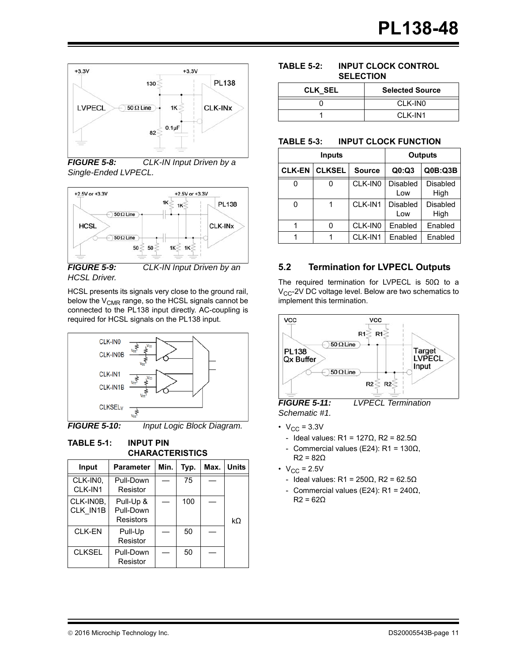

*FIGURE 5-8: CLK-IN Input Driven by a Single-Ended LVPECL.*



*FIGURE 5-9: CLK-IN Input Driven by an HCSL Driver.*

HCSL presents its signals very close to the ground rail, below the  $V_{CMR}$  range, so the HCSL signals cannot be connected to the PL138 input directly. AC-coupling is required for HCSL signals on the PL138 input.



*FIGURE 5-10: Input Logic Block Diagram.*

**TABLE 5-1: INPUT PIN CHARACTERISTICS**

| 11187.121112          |                                     |      |      |      |              |  |  |  |  |  |
|-----------------------|-------------------------------------|------|------|------|--------------|--|--|--|--|--|
| Input                 | <b>Parameter</b>                    | Min. | Typ. | Max. | <b>Units</b> |  |  |  |  |  |
| CLK-IN0,<br>CLK-IN1   | Pull-Down<br>Resistor               |      | 75   |      |              |  |  |  |  |  |
| CLK-IN0B.<br>CLK IN1B | Pull-Up &<br>Pull-Down<br>Resistors |      | 100  |      | kΩ           |  |  |  |  |  |
| <b>CLK-EN</b>         | Pull-Up<br>Resistor                 |      | 50   |      |              |  |  |  |  |  |
| <b>CLKSEL</b>         | Pull-Down<br>Resistor               |      | 50   |      |              |  |  |  |  |  |

#### **TABLE 5-2: INPUT CLOCK CONTROL SELECTION**

| <b>CLK SEL</b> | <b>Selected Source</b> |
|----------------|------------------------|
|                | CLK-IN0                |
|                | CI K-IN1               |

#### **TABLE 5-3: INPUT CLOCK FUNCTION**

| Inputs        |               | Outputs       |                 |                  |
|---------------|---------------|---------------|-----------------|------------------|
| <b>CLK-EN</b> | <b>CLKSEL</b> | <b>Source</b> | Q0:Q3           | QOB:Q3B          |
|               |               | CLK-IN0       | Disabled<br>Low | Disabled<br>High |
|               |               | CLK-IN1       | Disabled<br>Low | Disabled<br>High |
|               |               | CLK-IN0       | Enabled         | Enabled          |
|               |               | CLK-IN1       | Enabled         | Enabled          |

## **5.2 Termination for LVPECL Outputs**

The required termination for LVPECL is 50Ω to a  $V_{CC}$ -2V DC voltage level. Below are two schematics to implement this termination.



*FIGURE 5-11: LVPECL Termination Schematic #1.*

- $V_{CC}$  = 3.3V
	- Ideal values: R1 =  $127Ω$ , R2 =  $82.5Ω$
	- Commercial values (E24): R1 =  $130Ω$ ,  $R2 = 82\Omega$
- $V_{CC} = 2.5V$ 
	- Ideal values: R1 =  $250Ω$ , R2 =  $62.5Ω$
	- Commercial values (E24): R1 = 240Ω,  $R2 = 62Q$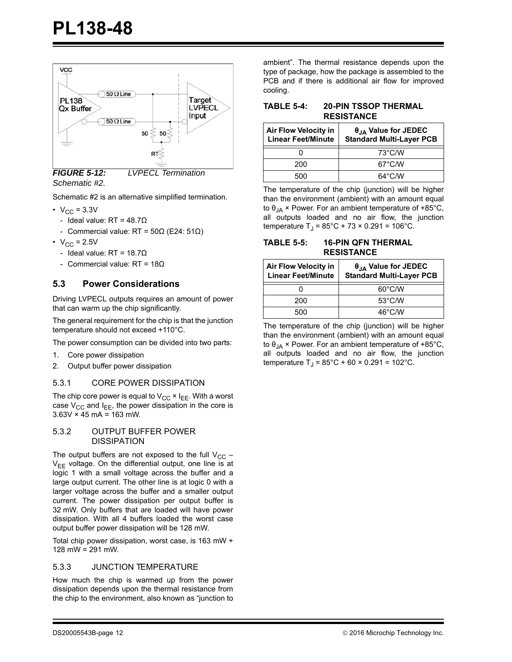

*FIGURE 5-12: LVPECL Termination Schematic #2.*

Schematic #2 is an alternative simplified termination.

- $V_{\text{CC}} = 3.3V$ 
	- Ideal value:  $RT = 48.7\Omega$
	- Commercial value: RT =  $50\Omega$  (E24:  $51\Omega$ )
- $V_{CC} = 2.5V$ 
	- Ideal value:  $RT = 18.7\Omega$
	- Commercial value: RT =  $18Ω$

#### **5.3 Power Considerations**

Driving LVPECL outputs requires an amount of power that can warm up the chip significantly.

The general requirement for the chip is that the junction temperature should not exceed +110°C.

The power consumption can be divided into two parts:

- 1. Core power dissipation
- 2. Output buffer power dissipation

#### 5.3.1 CORE POWER DISSIPATION

The chip core power is equal to  $V_{CC} \times I_{FE}$ . With a worst case  $V_{CC}$  and  $I_{EE}$ , the power dissipation in the core is  $3.63V \times 45$  mA = 163 mW.

#### 5.3.2 OUTPUT BUFFER POWER **DISSIPATION**

The output buffers are not exposed to the full  $V_{CC}$  –  $V_{EE}$  voltage. On the differential output, one line is at logic 1 with a small voltage across the buffer and a large output current. The other line is at logic 0 with a larger voltage across the buffer and a smaller output current. The power dissipation per output buffer is 32 mW. Only buffers that are loaded will have power dissipation. With all 4 buffers loaded the worst case output buffer power dissipation will be 128 mW.

Total chip power dissipation, worst case, is 163 mW + 128 mW = 291 mW.

#### 5.3.3 JUNCTION TEMPERATURE

How much the chip is warmed up from the power dissipation depends upon the thermal resistance from the chip to the environment, also known as "junction to ambient". The thermal resistance depends upon the type of package, how the package is assembled to the PCB and if there is additional air flow for improved cooling.

| TABLE 5-4: | <b>20-PIN TSSOP THERMAL</b> |
|------------|-----------------------------|
|            | <b>RESISTANCE</b>           |

| <b>Air Flow Velocity in</b><br><b>Linear Feet/Minute</b> | $\theta_{JA}$ Value for JEDEC<br><b>Standard Multi-Layer PCB</b> |
|----------------------------------------------------------|------------------------------------------------------------------|
|                                                          | 73°C/W                                                           |
| 200                                                      | $67^{\circ}$ C/W                                                 |
| 500                                                      | $64^{\circ}$ C/W                                                 |

The temperature of the chip (junction) will be higher than the environment (ambient) with an amount equal to  $\theta_{JA}$  × Power. For an ambient temperature of +85°C, all outputs loaded and no air flow, the junction temperature T<sub>J</sub> =  $85^{\circ}$ C + 73 × 0.291 = 106 $^{\circ}$ C.

#### **TABLE 5-5: 16-PIN QFN THERMAL RESISTANCE**

| <b>Air Flow Velocity in</b><br><b>Linear Feet/Minute</b> | $\theta_{JA}$ Value for JEDEC<br><b>Standard Multi-Layer PCB</b> |
|----------------------------------------------------------|------------------------------------------------------------------|
|                                                          | $60^{\circ}$ C/W                                                 |
| 200                                                      | $53^{\circ}$ C/W                                                 |
| 500                                                      | $46^{\circ}$ C/W                                                 |

The temperature of the chip (junction) will be higher than the environment (ambient) with an amount equal to  $\theta_{JA}$  × Power. For an ambient temperature of +85°C, all outputs loaded and no air flow, the junction temperature T<sub>J</sub> =  $85^{\circ}$ C + 60 × 0.291 = 102 $^{\circ}$ C.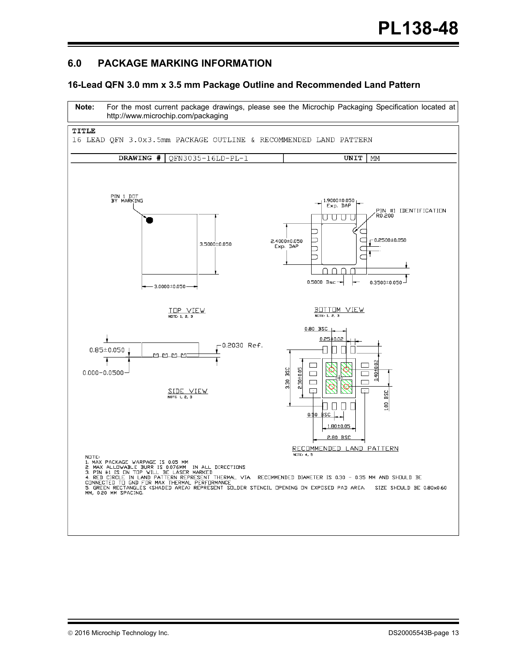## **6.0 PACKAGE MARKING INFORMATION**

#### **16-Lead QFN 3.0 mm x 3.5 mm Package Outline and Recommended Land Pattern**

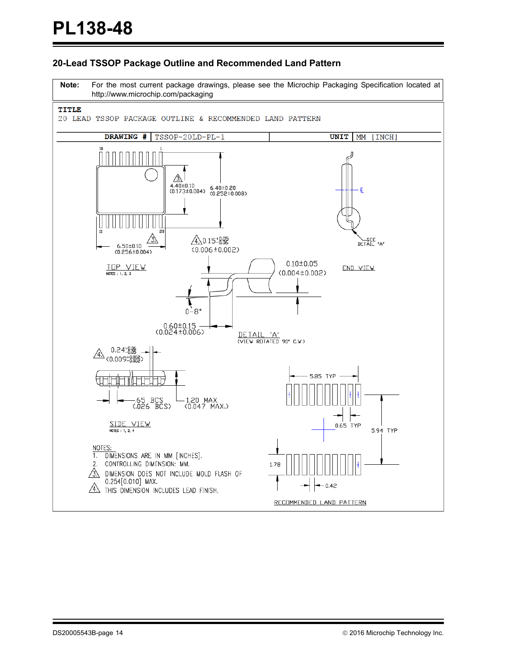#### **20-Lead TSSOP Package Outline and Recommended Land Pattern**

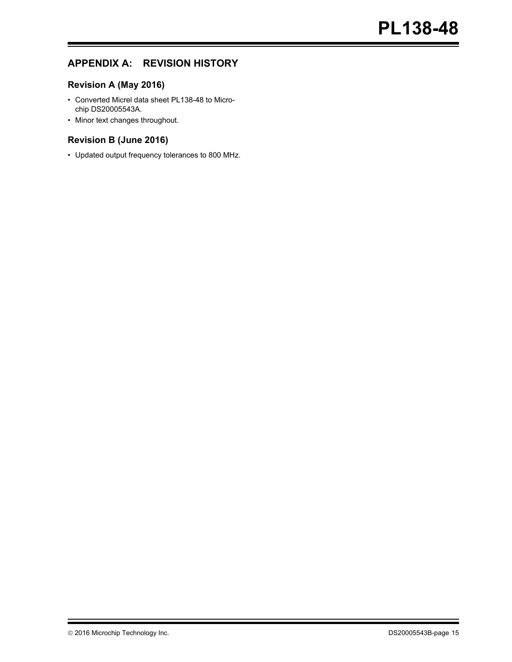## **APPENDIX A: REVISION HISTORY**

## **Revision A (May 2016)**

- Converted Micrel data sheet PL138-48 to Microchip DS20005543A.
- Minor text changes throughout.

### **Revision B (June 2016)**

• Updated output frequency tolerances to 800 MHz.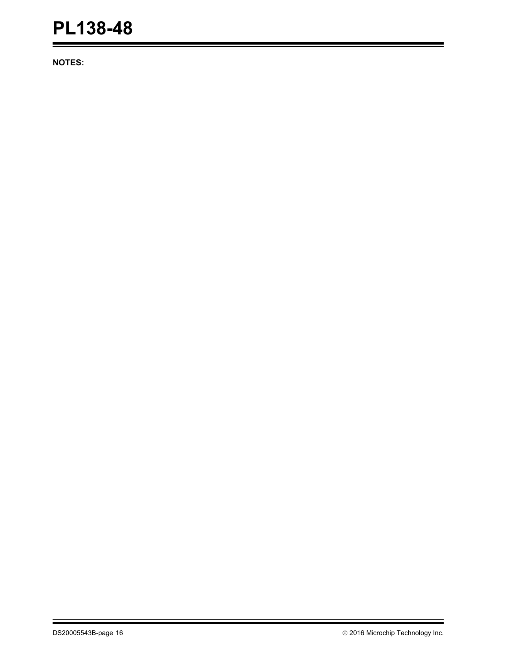**NOTES:**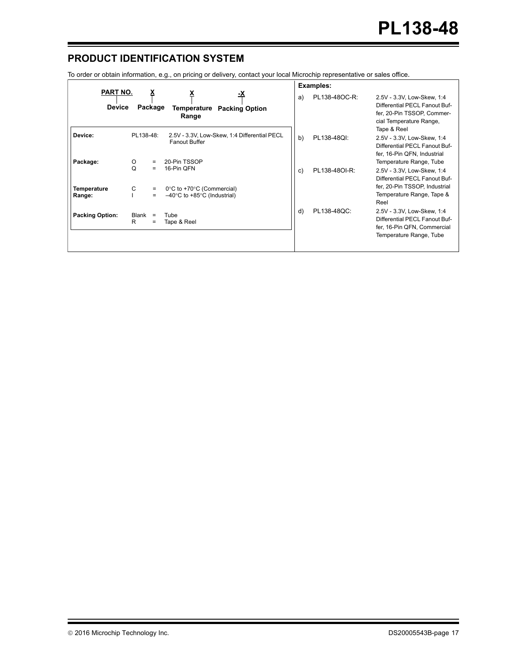## **PRODUCT IDENTIFICATION SYSTEM**

To order or obtain information, e.g., on pricing or delivery, contact your local Microchip representative or sales office.

|                                  |                                                                                                       | Examples:                                                                                                                                                  |
|----------------------------------|-------------------------------------------------------------------------------------------------------|------------------------------------------------------------------------------------------------------------------------------------------------------------|
| <b>PART NO.</b><br><b>Device</b> | -Х<br>Package<br>Temperature<br><b>Packing Option</b><br>Range                                        | PL138-48OC-R:<br>a)<br>2.5V - 3.3V, Low-Skew, 1:4<br>Differential PECL Fanout Buf-<br>fer, 20-Pin TSSOP, Commer-<br>cial Temperature Range,<br>Tape & Reel |
| Device:                          | PL138-48:<br>2.5V - 3.3V, Low-Skew, 1:4 Differential PECL<br><b>Fanout Buffer</b>                     | b)<br>PL138-48QI:<br>2.5V - 3.3V, Low-Skew, 1:4<br>Differential PECL Fanout Buf-<br>fer, 16-Pin QFN, Industrial                                            |
| Package:                         | 20-Pin TSSOP<br>O<br>$=$<br>Q<br>16-Pin QFN<br>$\qquad \qquad =$                                      | Temperature Range, Tube<br>c)<br>PL138-480I-R:<br>2.5V - 3.3V, Low-Skew, 1:4<br>Differential PECL Fanout Buf-                                              |
| <b>Temperature</b><br>Range:     | C<br>0°C to +70°C (Commercial)<br>$\equiv$<br>$-40^{\circ}$ C to +85 $^{\circ}$ C (Industrial)<br>$=$ | fer, 20-Pin TSSOP, Industrial<br>Temperature Range, Tape &<br>Reel                                                                                         |
| <b>Packing Option:</b>           | Blank<br>Tube<br>$\equiv$<br>R<br>Tape & Reel<br>$=$                                                  | d)<br>PL138-48QC:<br>2.5V - 3.3V, Low-Skew, 1:4<br>Differential PECL Fanout Buf-<br>fer, 16-Pin QFN, Commercial<br>Temperature Range, Tube                 |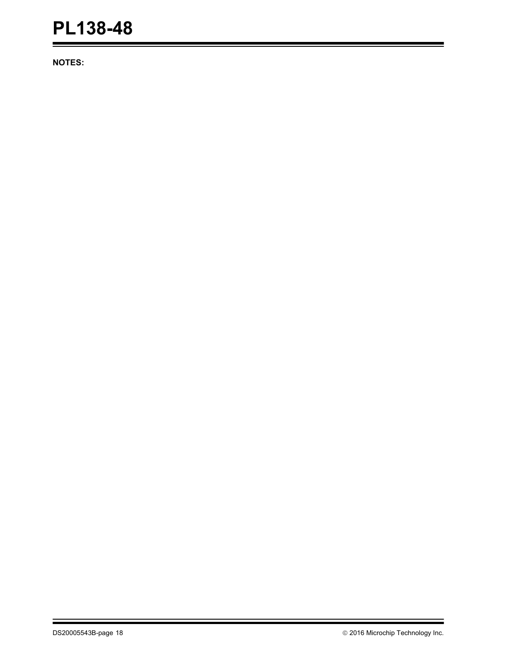**NOTES:**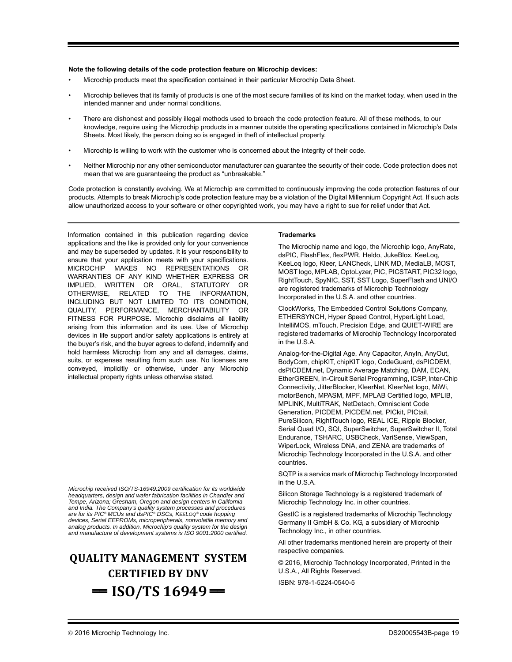#### **Note the following details of the code protection feature on Microchip devices:**

- Microchip products meet the specification contained in their particular Microchip Data Sheet.
- Microchip believes that its family of products is one of the most secure families of its kind on the market today, when used in the intended manner and under normal conditions.
- There are dishonest and possibly illegal methods used to breach the code protection feature. All of these methods, to our knowledge, require using the Microchip products in a manner outside the operating specifications contained in Microchip's Data Sheets. Most likely, the person doing so is engaged in theft of intellectual property.
- Microchip is willing to work with the customer who is concerned about the integrity of their code.
- Neither Microchip nor any other semiconductor manufacturer can guarantee the security of their code. Code protection does not mean that we are guaranteeing the product as "unbreakable."

Code protection is constantly evolving. We at Microchip are committed to continuously improving the code protection features of our products. Attempts to break Microchip's code protection feature may be a violation of the Digital Millennium Copyright Act. If such acts allow unauthorized access to your software or other copyrighted work, you may have a right to sue for relief under that Act.

Information contained in this publication regarding device applications and the like is provided only for your convenience and may be superseded by updates. It is your responsibility to ensure that your application meets with your specifications. MICROCHIP MAKES NO REPRESENTATIONS OR WARRANTIES OF ANY KIND WHETHER EXPRESS OR IMPLIED, WRITTEN OR ORAL, STATUTORY OR OTHERWISE, RELATED TO THE INFORMATION, INCLUDING BUT NOT LIMITED TO ITS CONDITION, QUALITY, PERFORMANCE, MERCHANTABILITY OR FITNESS FOR PURPOSE**.** Microchip disclaims all liability arising from this information and its use. Use of Microchip devices in life support and/or safety applications is entirely at the buyer's risk, and the buyer agrees to defend, indemnify and hold harmless Microchip from any and all damages, claims, suits, or expenses resulting from such use. No licenses are conveyed, implicitly or otherwise, under any Microchip intellectual property rights unless otherwise stated.

*Microchip received ISO/TS-16949:2009 certification for its worldwide headquarters, design and wafer fabrication facilities in Chandler and Tempe, Arizona; Gresham, Oregon and design centers in California and India. The Company's quality system processes and procedures are for its PIC® MCUs and dsPIC® DSCs, KEELOQ® code hopping devices, Serial EEPROMs, microperipherals, nonvolatile memory and analog products. In addition, Microchip's quality system for the design and manufacture of development systems is ISO 9001:2000 certified.*

# **QUALITY MANAGEMENT SYSTEM CERTIFIED BY DNV**  $=$  **ISO/TS** 16949 $=$

#### **Trademarks**

The Microchip name and logo, the Microchip logo, AnyRate, dsPIC, FlashFlex, flexPWR, Heldo, JukeBlox, KeeLoq, KeeLoq logo, Kleer, LANCheck, LINK MD, MediaLB, MOST, MOST logo, MPLAB, OptoLyzer, PIC, PICSTART, PIC32 logo, RightTouch, SpyNIC, SST, SST Logo, SuperFlash and UNI/O are registered trademarks of Microchip Technology Incorporated in the U.S.A. and other countries.

ClockWorks, The Embedded Control Solutions Company, ETHERSYNCH, Hyper Speed Control, HyperLight Load, IntelliMOS, mTouch, Precision Edge, and QUIET-WIRE are registered trademarks of Microchip Technology Incorporated in the U.S.A.

Analog-for-the-Digital Age, Any Capacitor, AnyIn, AnyOut, BodyCom, chipKIT, chipKIT logo, CodeGuard, dsPICDEM, dsPICDEM.net, Dynamic Average Matching, DAM, ECAN, EtherGREEN, In-Circuit Serial Programming, ICSP, Inter-Chip Connectivity, JitterBlocker, KleerNet, KleerNet logo, MiWi, motorBench, MPASM, MPF, MPLAB Certified logo, MPLIB, MPLINK, MultiTRAK, NetDetach, Omniscient Code Generation, PICDEM, PICDEM.net, PICkit, PICtail, PureSilicon, RightTouch logo, REAL ICE, Ripple Blocker, Serial Quad I/O, SQI, SuperSwitcher, SuperSwitcher II, Total Endurance, TSHARC, USBCheck, VariSense, ViewSpan, WiperLock, Wireless DNA, and ZENA are trademarks of Microchip Technology Incorporated in the U.S.A. and other countries.

SQTP is a service mark of Microchip Technology Incorporated in the U.S.A.

Silicon Storage Technology is a registered trademark of Microchip Technology Inc. in other countries.

GestIC is a registered trademarks of Microchip Technology Germany II GmbH & Co. KG, a subsidiary of Microchip Technology Inc., in other countries.

All other trademarks mentioned herein are property of their respective companies.

© 2016, Microchip Technology Incorporated, Printed in the U.S.A., All Rights Reserved.

ISBN: 978-1-5224-0540-5